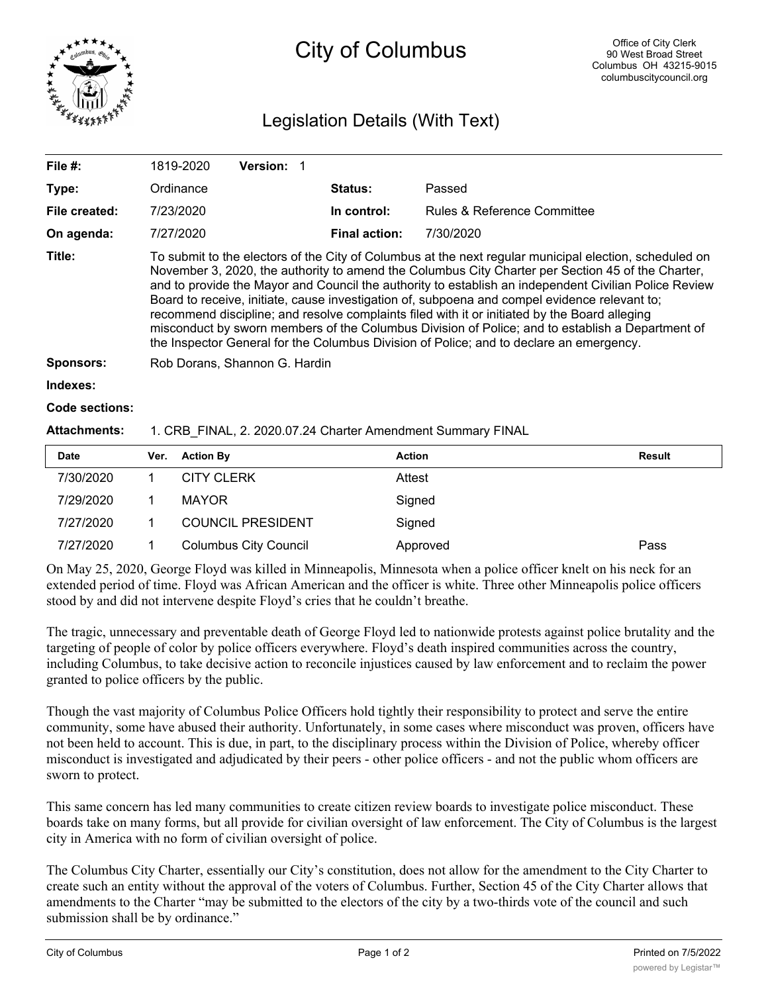

## City of Columbus

## Legislation Details (With Text)

| File $#$ :          | 1819-2020                                                                                                                                                                                                                                                                                                                                                                                                                                                                                                                                                                                                                                                                                                             | <b>Version:</b> |                      |                                        |        |  |  |
|---------------------|-----------------------------------------------------------------------------------------------------------------------------------------------------------------------------------------------------------------------------------------------------------------------------------------------------------------------------------------------------------------------------------------------------------------------------------------------------------------------------------------------------------------------------------------------------------------------------------------------------------------------------------------------------------------------------------------------------------------------|-----------------|----------------------|----------------------------------------|--------|--|--|
| Type:               | Ordinance                                                                                                                                                                                                                                                                                                                                                                                                                                                                                                                                                                                                                                                                                                             |                 | <b>Status:</b>       | Passed                                 |        |  |  |
| File created:       | 7/23/2020                                                                                                                                                                                                                                                                                                                                                                                                                                                                                                                                                                                                                                                                                                             |                 | In control:          | <b>Rules &amp; Reference Committee</b> |        |  |  |
| On agenda:          | 7/27/2020                                                                                                                                                                                                                                                                                                                                                                                                                                                                                                                                                                                                                                                                                                             |                 | <b>Final action:</b> | 7/30/2020                              |        |  |  |
| Title:              | To submit to the electors of the City of Columbus at the next regular municipal election, scheduled on<br>November 3, 2020, the authority to amend the Columbus City Charter per Section 45 of the Charter,<br>and to provide the Mayor and Council the authority to establish an independent Civilian Police Review<br>Board to receive, initiate, cause investigation of, subpoena and compel evidence relevant to;<br>recommend discipline; and resolve complaints filed with it or initiated by the Board alleging<br>misconduct by sworn members of the Columbus Division of Police; and to establish a Department of<br>the Inspector General for the Columbus Division of Police; and to declare an emergency. |                 |                      |                                        |        |  |  |
| <b>Sponsors:</b>    | Rob Dorans, Shannon G. Hardin                                                                                                                                                                                                                                                                                                                                                                                                                                                                                                                                                                                                                                                                                         |                 |                      |                                        |        |  |  |
| Indexes:            |                                                                                                                                                                                                                                                                                                                                                                                                                                                                                                                                                                                                                                                                                                                       |                 |                      |                                        |        |  |  |
| Code sections:      |                                                                                                                                                                                                                                                                                                                                                                                                                                                                                                                                                                                                                                                                                                                       |                 |                      |                                        |        |  |  |
| <b>Attachments:</b> | 1. CRB FINAL, 2. 2020.07.24 Charter Amendment Summary FINAL                                                                                                                                                                                                                                                                                                                                                                                                                                                                                                                                                                                                                                                           |                 |                      |                                        |        |  |  |
| Date                | <b>Action By</b><br>Ver.                                                                                                                                                                                                                                                                                                                                                                                                                                                                                                                                                                                                                                                                                              |                 | <b>Action</b>        |                                        | Result |  |  |

|                                                          |                              | <b>Action</b>  | Result |
|----------------------------------------------------------|------------------------------|----------------|--------|
|                                                          | <b>CITY CLERK</b>            | Attest         |        |
|                                                          | <b>MAYOR</b>                 | Signed         |        |
|                                                          | <b>COUNCIL PRESIDENT</b>     | Signed         |        |
|                                                          | <b>Columbus City Council</b> | Approved       | Pass   |
| Date<br>7/30/2020<br>7/29/2020<br>7/27/2020<br>7/27/2020 |                              | Ver. Action By |        |

On May 25, 2020, George Floyd was killed in Minneapolis, Minnesota when a police officer knelt on his neck for an extended period of time. Floyd was African American and the officer is white. Three other Minneapolis police officers stood by and did not intervene despite Floyd's cries that he couldn't breathe.

The tragic, unnecessary and preventable death of George Floyd led to nationwide protests against police brutality and the targeting of people of color by police officers everywhere. Floyd's death inspired communities across the country, including Columbus, to take decisive action to reconcile injustices caused by law enforcement and to reclaim the power granted to police officers by the public.

Though the vast majority of Columbus Police Officers hold tightly their responsibility to protect and serve the entire community, some have abused their authority. Unfortunately, in some cases where misconduct was proven, officers have not been held to account. This is due, in part, to the disciplinary process within the Division of Police, whereby officer misconduct is investigated and adjudicated by their peers - other police officers - and not the public whom officers are sworn to protect.

This same concern has led many communities to create citizen review boards to investigate police misconduct. These boards take on many forms, but all provide for civilian oversight of law enforcement. The City of Columbus is the largest city in America with no form of civilian oversight of police.

The Columbus City Charter, essentially our City's constitution, does not allow for the amendment to the City Charter to create such an entity without the approval of the voters of Columbus. Further, Section 45 of the City Charter allows that amendments to the Charter "may be submitted to the electors of the city by a two-thirds vote of the council and such submission shall be by ordinance."